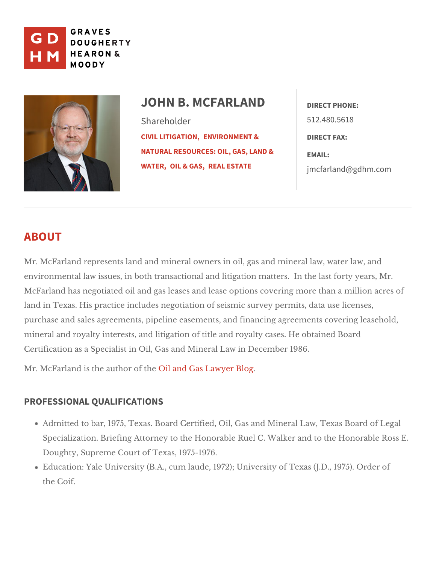

## JOHN B. MCFARLANEDT PHONE: Shareholder [CIVIL LITIG](https://www.gdhm.com/practice-areas/civil-litigation/)ENMONONMENT & [NATURAL RESOURCES: O](https://www.gdhm.com/practice-areas/environment-and-natural-resources-oil-gas-land-water/)IL, GASMAHAND & [WATE](https://www.gdhm.com/practice-areas/environment-and-natural-resources-oil-gas-land-water/)R<sub>IL</sub> & GRAESAL ESTATE 512.480.5618 DIRECT FAX: [jmcfarland@gd](mailto:jmcfarland@gdhm.com)hm.com

# ABOUT

Mr. McFarland represents land and mineral owners in oil, gas and mineral law environmental law issues, in both transactional and litigation matters. In the McFarland has negotiated oil and gas leases and lease options covering more land in Texas. His practice includes negotiation of seismic survey permits, d purchase and sales agreements, pipeline easements, and financing agreemen mineral and royalty interests, and litigation of title and royalty cases. He ob Certification as a Specialist in Oil, Gas anDdedVeimmebeal 1L9a8w6.in

Mr. McFarland is the auth  $\omega$  in dafn the  $\epsilon$  as Lawyer Blog

## PROFESSIONAL QUALIFICATIONS

Admitted to bar, 1975, Texas. Board Certified, Oil, Gas and Mineral Law, Specialization. Briefing Attorney to the Honorable Ruel C. Walker and to Doughty, Supreme Coluerxtacsf, 1975-1976.

Education: Yale University (B.A., cum laude, 1972); University of Texas ( the Coif.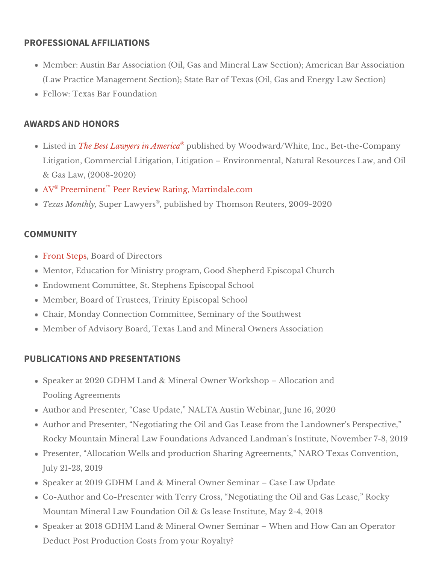#### PROFESSIONAL AFFILIATIONS

Member: Austin Bar Association (Oil, Gas and Mineral Law Section); Amer (Law Practice Management Section); State Bar of Texas L& @ il Se G aiso ma)nd Ene Fellow: Texas Bar Foundation

### AWARDS AND HONORS

Listed The Best Lawyers in Aumbeished by Woodward/White, Inc., Bet-the-Company Litigation, Commercial Litigation, Litigation Environmental, Natural Res & Gabaw, (2008-2020) A <sup>[®](http://www.martindale.com/John-B-McFarland/1625382-lawyer.htm)</sup> Preemin<sup>[™](http://www.martindale.com/John-B-McFarland/1625382-lawyer.htm)</sup> en Review Rating, Martindale.com Texas Mont $\mathcal{B}$  lyper Law $\mathcal{P}$ , epsublished by Tho Reputers, 2009-2020

#### COMMUNITY

[Front St](http://www.frontsteps.org/)epBsoarcdf Directors Mentor, Education for Ministry program, GEp ds Schpeaplh Chaurch Endowment Committee, St. Steeiphenal School Member, Board of TrusteesEpTs croipt al School Chair, Monday Connection Committee, tSheem Simenthweetst Member of Advisory Board, Texas Land Oannde MsinAesrsad ciation

### PUBLICATIONS AND PRESENTATIONS

Speaker at 2020 GDHM Land & Mineral Owner Workshop Allocation and Pooling Agreements

Author and Presenter, Case Update, NALTA Ausich, WebOnar, June Author and Presenter, Negotiating the Oil and Gas Lease from the Lando Rocky Mountain Mineral Law Foundations Advanced Landman s7lm8st 2t @ut 0, 1 Presenter, Allocation Wells and production Sharing Agreements, NARO 7 July 21-23, 2019

Speaker at 2019 GDHM Land & Mineral Owner Samibandat Case Co-Author and Co-Presenter with Terry Cross, Negotiating the Oil and Gastle Mountan Mineral Law Foundation Oil & Gs leas 2e-4 ps 2t 0 tluste, May Speaker at 2018 GDHM Land & Mineral Owner Seminar When and How Ca Deduct Post Production Coysstus rfrom alty?